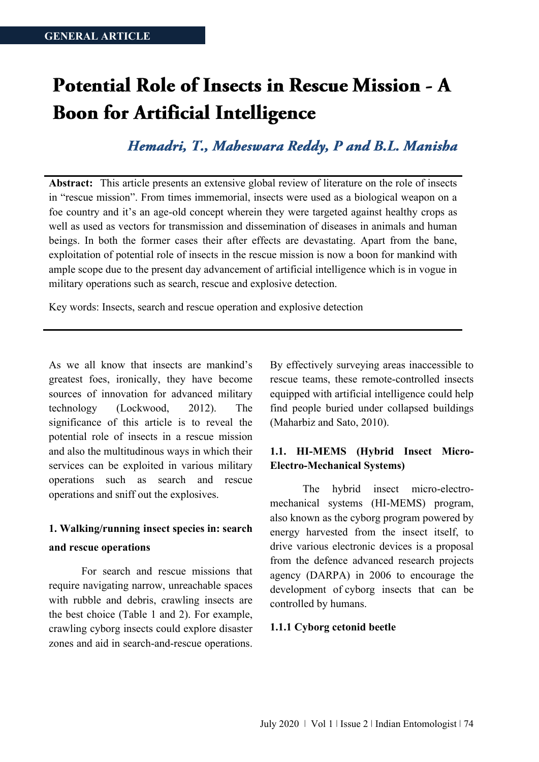# Potential Role of Insects in Rescue Mission - A **Boon for Artificial Intelligence**

Hemadri, T., Maheswara Reddy, P and B.L. Manisha

**Abstract:** This article presents an extensive global review of literature on the role of insects in "rescue mission". From times immemorial, insects were used as a biological weapon on a foe country and it's an age-old concept wherein they were targeted against healthy crops as well as used as vectors for transmission and dissemination of diseases in animals and human beings. In both the former cases their after effects are devastating. Apart from the bane, exploitation of potential role of insects in the rescue mission is now a boon for mankind with ample scope due to the present day advancement of artificial intelligence which is in vogue in military operations such as search, rescue and explosive detection.

Key words: Insects, search and rescue operation and explosive detection

As we all know that insects are mankind's greatest foes, ironically, they have become sources of innovation for advanced military technology (Lockwood, 2012). The significance of this article is to reveal the potential role of insects in a rescue mission and also the multitudinous ways in which their services can be exploited in various military operations such as search and rescue operations and sniff out the explosives.

# **1. Walking/running insect species in: search**

#### **and rescue operations**

For search and rescue missions that require navigating narrow, unreachable spaces with rubble and debris, crawling insects are the best choice (Table 1 and 2). For example, crawling cyborg insects could explore disaster zones and aid in search-and-rescue operations.

By effectively surveying areas inaccessible to rescue teams, these remote-controlled insects equipped with artificial intelligence could help find people buried under collapsed buildings (Maharbiz and Sato, 2010).

# **1.1. HI-MEMS (Hybrid Insect Micro-Electro-Mechanical Systems)**

The hybrid insect micro-electromechanical systems (HI-MEMS) program, also known as the cyborg program powered by energy harvested from the insect itself, to drive various electronic devices is a proposal from the defence advanced research projects agency (DARPA) in 2006 to encourage the development of cyborg insects that can be controlled by humans.

#### **1.1.1 Cyborg cetonid beetle**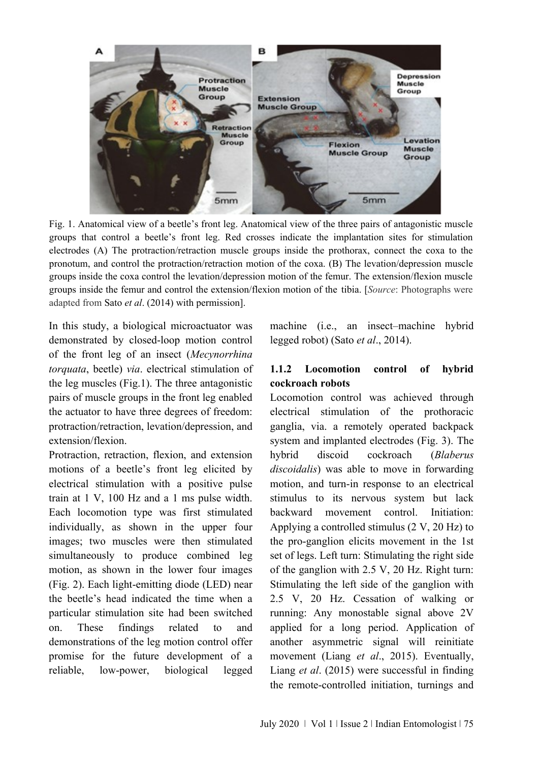

Fig. 1. Anatomical view of a beetle's front leg. Anatomical view of the three pairs of antagonistic muscle groups that control a beetle's front leg. Red crosses indicate the implantation sites for stimulation electrodes (A) The protraction/retraction muscle groups inside the prothorax, connect the coxa to the pronotum, and control the protraction/retraction motion of the coxa. (B) The levation/depression muscle groups inside the coxa control the levation/depression motion of the femur. The extension/flexion muscle groups inside the femur and control the extension/flexion motion of the tibia. [*Source*: Photographs were adapted from Sato *et al*. (2014) with permission].

In this study, a biological microactuator was demonstrated by closed-loop motion control of the front leg of an insect (*Mecynorrhina torquata*, beetle) *via*. electrical stimulation of the leg muscles (Fig.1). The three antagonistic pairs of muscle groups in the front leg enabled the actuator to have three degrees of freedom: protraction/retraction, levation/depression, and extension/flexion.

Protraction, retraction, flexion, and extension motions of a beetle's front leg elicited by electrical stimulation with a positive pulse train at 1 V, 100 Hz and a 1 ms pulse width. Each locomotion type was first stimulated individually, as shown in the upper four images; two muscles were then stimulated simultaneously to produce combined leg motion, as shown in the lower four images (Fig. 2). Each light-emitting diode (LED) near the beetle's head indicated the time when a particular stimulation site had been switched on. These findings related to and demonstrations of the leg motion control offer promise for the future development of a reliable, low-power, biological legged

machine (i.e., an insect–machine hybrid legged robot) (Sato *et al*., 2014).

# **1.1.2 Locomotion control of hybrid cockroach robots**

Locomotion control was achieved through electrical stimulation of the prothoracic ganglia, via. a remotely operated backpack system and implanted electrodes (Fig. 3). The hybrid discoid cockroach (*Blaberus discoidalis*) was able to move in forwarding motion, and turn-in response to an electrical stimulus to its nervous system but lack backward movement control. Initiation: Applying a controlled stimulus (2 V, 20 Hz) to the pro-ganglion elicits movement in the 1st set of legs. Left turn: Stimulating the right side of the ganglion with 2.5 V, 20 Hz. Right turn: Stimulating the left side of the ganglion with 2.5 V, 20 Hz. Cessation of walking or running: Any monostable signal above 2V applied for a long period. Application of another asymmetric signal will reinitiate movement (Liang *et al*., 2015). Eventually, Liang *et al*. (2015) were successful in finding the remote-controlled initiation, turnings and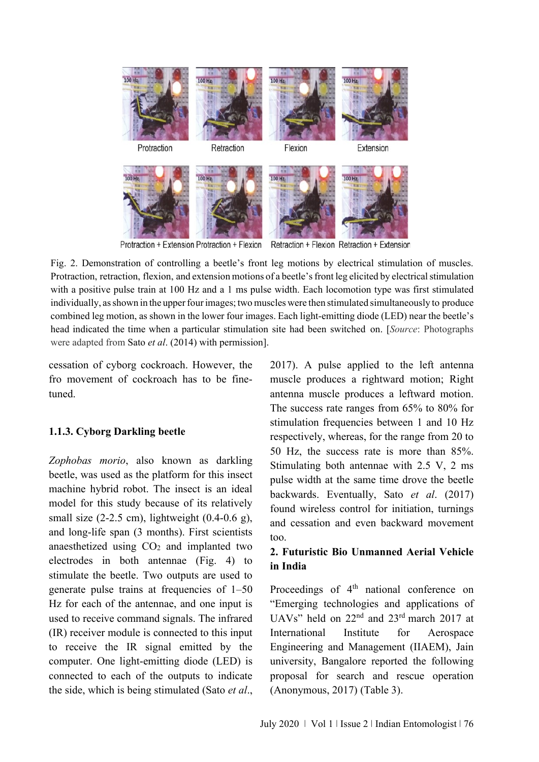

Protraction + Extension Protraction + Flexion Retraction + Flexion Retraction + Extension

Fig. 2. Demonstration of controlling a beetle's front leg motions by electrical stimulation of muscles. Protraction, retraction, flexion, and extension motions of a beetle's front leg elicited by electrical stimulation with a positive pulse train at 100 Hz and a 1 ms pulse width. Each locomotion type was first stimulated individually, as shown in the upper four images; two muscles were then stimulated simultaneously to produce combined leg motion, as shown in the lower four images. Each light-emitting diode (LED) near the beetle's head indicated the time when a particular stimulation site had been switched on. [*Source*: Photographs were adapted from Sato *et al*. (2014) with permission].

cessation of cyborg cockroach. However, the fro movement of cockroach has to be finetuned.

# **1.1.3. Cyborg Darkling beetle**

*Zophobas morio*, also known as darkling beetle, was used as the platform for this insect machine hybrid robot. The insect is an ideal model for this study because of its relatively small size (2-2.5 cm), lightweight (0.4-0.6 g), and long-life span (3 months). First scientists anaesthetized using CO<sup>2</sup> and implanted two electrodes in both antennae (Fig. 4) to stimulate the beetle. Two outputs are used to generate pulse trains at frequencies of 1–50 Hz for each of the antennae, and one input is used to receive command signals. The infrared (IR) receiver module is connected to this input to receive the IR signal emitted by the computer. One light-emitting diode (LED) is connected to each of the outputs to indicate the side, which is being stimulated (Sato *et al*.,

2017). A pulse applied to the left antenna muscle produces a rightward motion; Right antenna muscle produces a leftward motion. The success rate ranges from 65% to 80% for stimulation frequencies between 1 and 10 Hz respectively, whereas, for the range from 20 to 50 Hz, the success rate is more than 85%. Stimulating both antennae with 2.5 V, 2 ms pulse width at the same time drove the beetle backwards. Eventually, Sato *et al*. (2017) found wireless control for initiation, turnings and cessation and even backward movement too.

# **2. Futuristic Bio Unmanned Aerial Vehicle in India**

Proceedings of 4<sup>th</sup> national conference on "Emerging technologies and applications of UAVs" held on 22nd and 23rd march 2017 at International Institute for Aerospace Engineering and Management (IIAEM), Jain university, Bangalore reported the following proposal for search and rescue operation (Anonymous, 2017) (Table 3).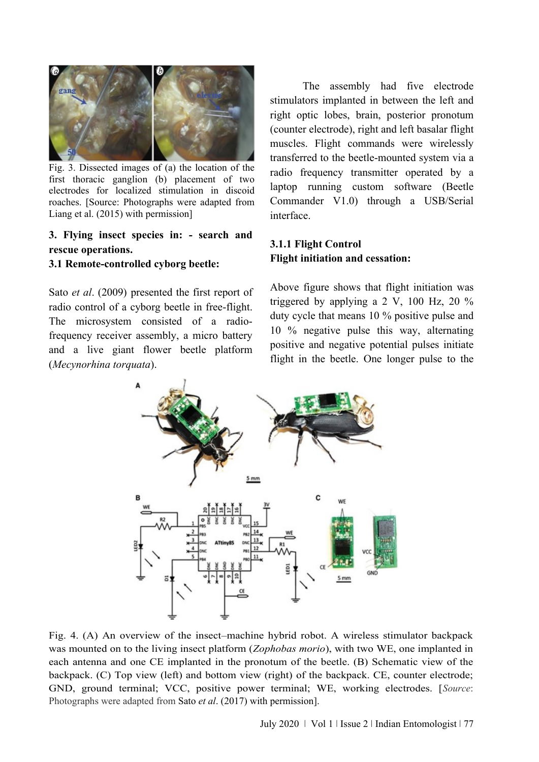

Fig. 3. Dissected images of (a) the location of the first thoracic ganglion (b) placement of two electrodes for localized stimulation in discoid roaches. [Source: Photographs were adapted from Liang et al. (2015) with permission]

# **3. Flying insect species in: - search and rescue operations.**

#### **3.1 Remote-controlled cyborg beetle:**

Sato *et al*. (2009) presented the first report of radio control of a cyborg beetle in free-flight. The microsystem consisted of a radiofrequency receiver assembly, a micro battery and a live giant flower beetle platform (*Mecynorhina torquata*).

The assembly had five electrode stimulators implanted in between the left and right optic lobes, brain, posterior pronotum (counter electrode), right and left basalar flight muscles. Flight commands were wirelessly transferred to the beetle-mounted system via a radio frequency transmitter operated by a laptop running custom software (Beetle Commander V1.0) through a USB/Serial interface.

# **3.1.1 Flight Control Flight initiation and cessation:**

Above figure shows that flight initiation was triggered by applying a 2 V, 100 Hz, 20 % duty cycle that means 10 % positive pulse and 10 % negative pulse this way, alternating positive and negative potential pulses initiate flight in the beetle. One longer pulse to the



Fig. 4. (A) An overview of the insect–machine hybrid robot. A wireless stimulator backpack was mounted on to the living insect platform (*Zophobas morio*), with two WE, one implanted in each antenna and one CE implanted in the pronotum of the beetle. (B) Schematic view of the backpack. (C) Top view (left) and bottom view (right) of the backpack. CE, counter electrode; GND, ground terminal; VCC, positive power terminal; WE, working electrodes. [*Source*: Photographs were adapted from Sato *et al*. (2017) with permission].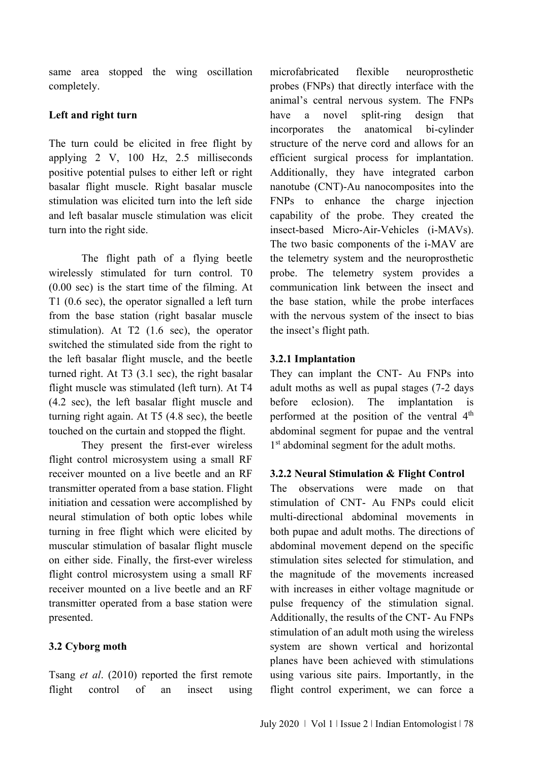same area stopped the wing oscillation completely.

### **Left and right turn**

The turn could be elicited in free flight by applying 2 V, 100 Hz, 2.5 milliseconds positive potential pulses to either left or right basalar flight muscle. Right basalar muscle stimulation was elicited turn into the left side and left basalar muscle stimulation was elicit turn into the right side.

The flight path of a flying beetle wirelessly stimulated for turn control. T0 (0.00 sec) is the start time of the filming. At T1 (0.6 sec), the operator signalled a left turn from the base station (right basalar muscle stimulation). At T2 (1.6 sec), the operator switched the stimulated side from the right to the left basalar flight muscle, and the beetle turned right. At T3 (3.1 sec), the right basalar flight muscle was stimulated (left turn). At T4 (4.2 sec), the left basalar flight muscle and turning right again. At T5 (4.8 sec), the beetle touched on the curtain and stopped the flight.

They present the first-ever wireless flight control microsystem using a small RF receiver mounted on a live beetle and an RF transmitter operated from a base station. Flight initiation and cessation were accomplished by neural stimulation of both optic lobes while turning in free flight which were elicited by muscular stimulation of basalar flight muscle on either side. Finally, the first-ever wireless flight control microsystem using a small RF receiver mounted on a live beetle and an RF transmitter operated from a base station were presented.

#### **3.2 Cyborg moth**

Tsang *et al*. (2010) reported the first remote flight control of an insect using microfabricated flexible neuroprosthetic probes (FNPs) that directly interface with the animal's central nervous system. The FNPs have a novel split-ring design that incorporates the anatomical bi-cylinder structure of the nerve cord and allows for an efficient surgical process for implantation. Additionally, they have integrated carbon nanotube (CNT)-Au nanocomposites into the FNPs to enhance the charge injection capability of the probe. They created the insect-based Micro-Air-Vehicles (i-MAVs). The two basic components of the i-MAV are the telemetry system and the neuroprosthetic probe. The telemetry system provides a communication link between the insect and the base station, while the probe interfaces with the nervous system of the insect to bias the insect's flight path.

#### **3.2.1 Implantation**

They can implant the CNT- Au FNPs into adult moths as well as pupal stages (7-2 days before eclosion). The implantation is performed at the position of the ventral 4<sup>th</sup> abdominal segment for pupae and the ventral 1<sup>st</sup> abdominal segment for the adult moths.

#### **3.2.2 Neural Stimulation & Flight Control**

The observations were made on that stimulation of CNT- Au FNPs could elicit multi-directional abdominal movements in both pupae and adult moths. The directions of abdominal movement depend on the specific stimulation sites selected for stimulation, and the magnitude of the movements increased with increases in either voltage magnitude or pulse frequency of the stimulation signal. Additionally, the results of the CNT- Au FNPs stimulation of an adult moth using the wireless system are shown vertical and horizontal planes have been achieved with stimulations using various site pairs. Importantly, in the flight control experiment, we can force a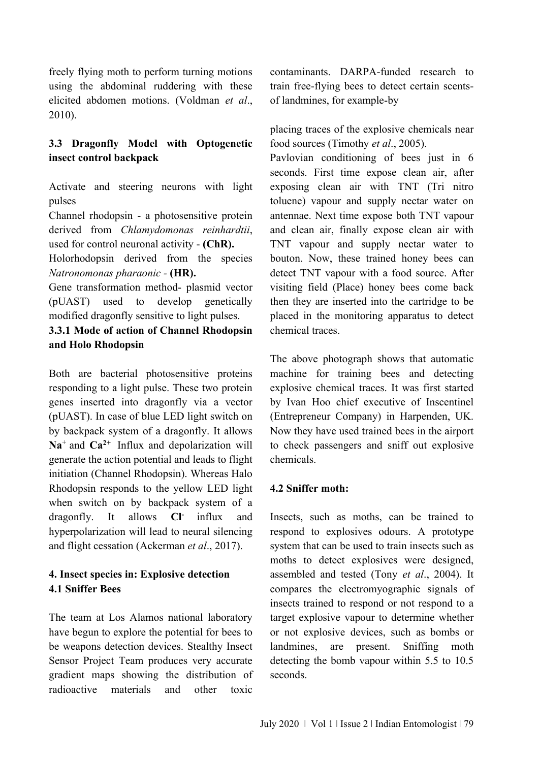freely flying moth to perform turning motions using the abdominal ruddering with these elicited abdomen motions. (Voldman *et al*., 2010).

# **3.3 Dragonfly Model with Optogenetic insect control backpack**

Activate and steering neurons with light pulses

Channel rhodopsin - a photosensitive protein derived from *Chlamydomonas reinhardtii*, used for control neuronal activity - **(ChR).**

Holorhodopsin derived from the species *Natronomonas pharaonic -* **(HR).**

Gene transformation method- plasmid vector (pUAST) used to develop genetically modified dragonfly sensitive to light pulses.

**3.3.1 Mode of action of Channel Rhodopsin and Holo Rhodopsin**

Both are bacterial photosensitive proteins responding to a light pulse. These two protein genes inserted into dragonfly via a vector (pUAST). In case of blue LED light switch on by backpack system of a dragonfly. It allows  $Na<sup>+</sup>$  and  $Ca<sup>2+</sup>$  Influx and depolarization will generate the action potential and leads to flight initiation (Channel Rhodopsin). Whereas Halo Rhodopsin responds to the yellow LED light when switch on by backpack system of a dragonfly. It allows **Cl-**influx and hyperpolarization will lead to neural silencing and flight cessation (Ackerman *et al*., 2017).

# **4. Insect species in: Explosive detection 4.1 Sniffer Bees**

The team at Los Alamos national laboratory have begun to explore the potential for bees to be weapons detection devices. Stealthy Insect Sensor Project Team produces very accurate gradient maps showing the distribution of radioactive materials and other toxic

contaminants. DARPA-funded research to train free-flying bees to detect certain scentsof landmines, for example-by

placing traces of the explosive chemicals near food sources (Timothy *et al*., 2005).

Pavlovian conditioning of bees just in 6 seconds. First time expose clean air, after exposing clean air with TNT (Tri nitro toluene) vapour and supply nectar water on antennae. Next time expose both TNT vapour and clean air, finally expose clean air with TNT vapour and supply nectar water to bouton. Now, these trained honey bees can detect TNT vapour with a food source. After visiting field (Place) honey bees come back then they are inserted into the cartridge to be placed in the monitoring apparatus to detect chemical traces.

The above photograph shows that automatic machine for training bees and detecting explosive chemical traces. It was first started by Ivan Hoo chief executive of Inscentinel (Entrepreneur Company) in Harpenden, UK. Now they have used trained bees in the airport to check passengers and sniff out explosive chemicals.

# **4.2 Sniffer moth:**

Insects, such as moths, can be trained to respond to explosives odours. A prototype system that can be used to train insects such as moths to detect explosives were designed, assembled and tested (Tony *et al*., 2004). It compares the electromyographic signals of insects trained to respond or not respond to a target explosive vapour to determine whether or not explosive devices, such as bombs or landmines, are present. Sniffing moth detecting the bomb vapour within 5.5 to 10.5 seconds.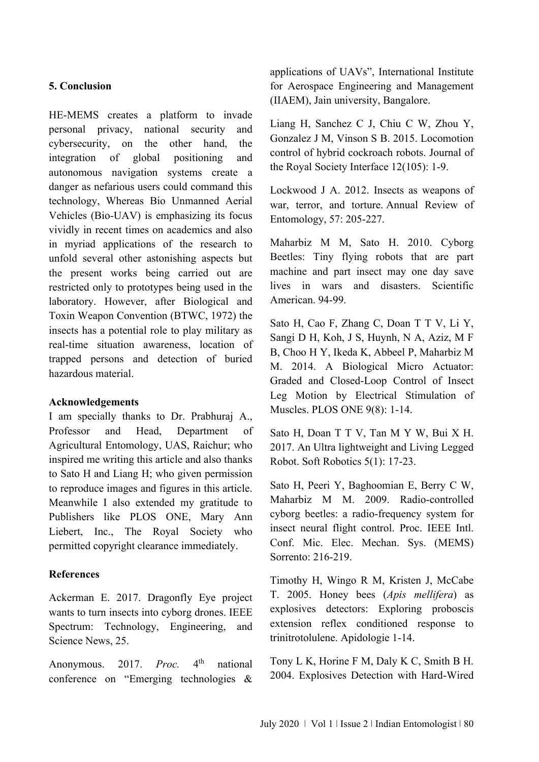#### **5. Conclusion**

HE-MEMS creates a platform to invade personal privacy, national security and cybersecurity, on the other hand, the integration of global positioning and autonomous navigation systems create a danger as nefarious users could command this technology, Whereas Bio Unmanned Aerial Vehicles (Bio-UAV) is emphasizing its focus vividly in recent times on academics and also in myriad applications of the research to unfold several other astonishing aspects but the present works being carried out are restricted only to prototypes being used in the laboratory. However, after Biological and Toxin Weapon Convention (BTWC, 1972) the insects has a potential role to play military as real-time situation awareness, location of trapped persons and detection of buried hazardous material.

#### **Acknowledgements**

I am specially thanks to Dr. Prabhuraj A., Professor and Head, Department of Agricultural Entomology, UAS, Raichur; who inspired me writing this article and also thanks to Sato H and Liang H; who given permission to reproduce images and figures in this article. Meanwhile I also extended my gratitude to Publishers like PLOS ONE, Mary Ann Liebert, Inc., The Royal Society who permitted copyright clearance immediately.

# **References**

Ackerman E. 2017. Dragonfly Eye project wants to turn insects into cyborg drones. IEEE Spectrum: Technology, Engineering, and Science News, 25.

Anonymous. 2017. *Proc.* 4 national conference on "Emerging technologies & applications of UAVs", International Institute for Aerospace Engineering and Management (IIAEM), Jain university, Bangalore.

Liang H, Sanchez C J, Chiu C W, Zhou Y, Gonzalez J M, Vinson S B. 2015. Locomotion control of hybrid cockroach robots. Journal of the Royal Society Interface 12(105): 1-9.

Lockwood J A. 2012. Insects as weapons of war, terror, and torture. Annual Review of Entomology, 57: 205-227.

Maharbiz M M, Sato H. 2010. Cyborg Beetles: Tiny flying robots that are part machine and part insect may one day save lives in wars and disasters. Scientific American. 94-99.

Sato H, Cao F, Zhang C, Doan T T V, Li Y, Sangi D H, Koh, J S, Huynh, N A, Aziz, M F B, Choo H Y, Ikeda K, Abbeel P, Maharbiz M M. 2014. A Biological Micro Actuator: Graded and Closed-Loop Control of Insect Leg Motion by Electrical Stimulation of Muscles. PLOS ONE 9(8): 1-14.

Sato H, Doan T T V, Tan M Y W, Bui X H. 2017. An Ultra lightweight and Living Legged Robot. Soft Robotics 5(1): 17-23.

Sato H, Peeri Y, Baghoomian E, Berry C W, Maharbiz M M. 2009. Radio-controlled cyborg beetles: a radio-frequency system for insect neural flight control. Proc. IEEE Intl. Conf. Mic. Elec. Mechan. Sys. (MEMS) Sorrento: 216-219.

Timothy H, Wingo R M, Kristen J, McCabe T. 2005. Honey bees (*Apis mellifera*) as explosives detectors: Exploring proboscis extension reflex conditioned response to trinitrotolulene. Apidologie 1-14.

Tony L K, Horine F M, Daly K C, Smith B H. 2004. Explosives Detection with Hard-Wired